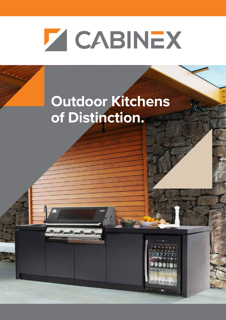# **Z CABINEX**

## **Outdoor Kitchens of Distinction.**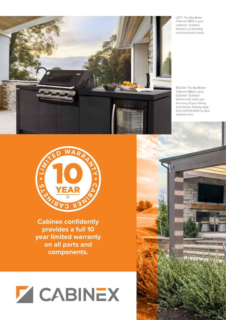

LEFT: The BeefEater 4 Burner BBQ in your Cabinex™ Outdoor Kitchen is a stunning and functional choice.

BELOW: The BeefEater 5 Burner BBQ in your Cabinex™ Outdoor Kitchen will make you the envy of your family and friends. Adding style and sophistication to your outdoor area.



**Cabinex confidently provides a full 10 year limited warranty on all parts and components.** 



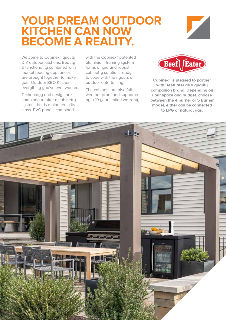### **YOUR DREAM OUTDOOR KITCHEN CAN NOW BECOME A REALITY.**



Welcome to Cabinex<sup>™</sup> quality DIY outdoor kitchens. Beauty & functionality combined with market leading appliances are brought together to make your Outdoor BBQ Kitchen everything you've ever wanted.

Technology and design are combined to offer a cabinetry system that is a pioneer in its class. PVC panels combined

with the Cabinex<sup>™</sup> patented aluminium framing system forms a rigid and robust cabinetry solution, ready to cope with the rigours of outdoor entertaining.

The cabinets are also fully weather proof and supported by a 10 year limited warranty.



**Cabinex™ is pleased to partner with BeefEater as a quality companion brand. Depending on your space and budget, choose between the 4 burner or 5 Burner model, either can be connected to LPG or natural gas.**

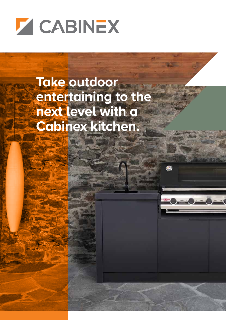## **ZI CABINEX**

### **Take outdoor entertaining to the next level with a Cabinex kitchen.**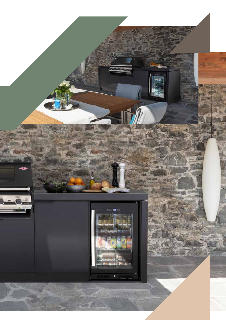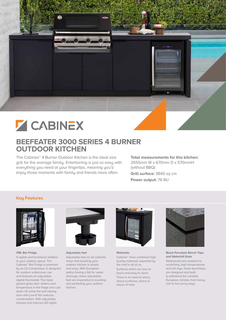## **Z CABINEX**

#### **BEEFEATER 3000 SERIES 4 BURNER OUTDOOR KITCHEN**

The Cabinex™ 4 Burner Outdoor Kitchen is the ideal size grill for the average family. Entertaining is just so easy with everything you need at your fingertips, meaning you'll enjoy those moments with family and friends more often.

#### **Total measurements for this kitchen:**  2655mm W x 670mm D x 570mmH (without BBQ) **Grill surface: 3840 sq cm**

#### **Power output:** 76 MJ

#### **Key Features**



**118L Bar Fridge** A stylish and functional addition to your outdoor space. The Cabinex™ Bar Fridge is powered by an LG Compressor, is designed for outdoor undercover use and features an adjustable digital thermostat. The triple glazed glass door retains cool temperature in the fridge and cuts down UV while the self closing door with Low-E film reduces condensation. With adjustable shelves and internal LED lights.



#### **Adjustable feet** Adjustable feet on all cabinets mean that levelling your outdoor kitchen is simple and easy. With European patios having a fall for water drainage, these adjustable feet are imperative to levelling and perfecting your outdoor kitchen.



#### **Materials** Cabinex™ have combined high quality materials expected by the chef in all of us. Surfaces which are nice to touch and easy to clean. There is no need to worry about scratches, stains or traces of heat.



#### **Black Porcelain Bench Tops and Waterfall Ends**

Waterproof and resistant to scratching, high temperatures and UV rays, these benchtops are designed and built to withstand the variable European climate, from heavy rain to hot sunny days.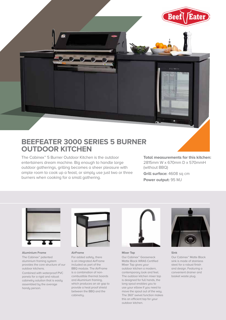

#### **BEEFEATER 3000 SERIES 5 BURNER OUTDOOR KITCHEN**

The Cabinex™ 5 Burner Outdoor Kitchen is the outdoor entertainers dream machine. Big enough to handle large outdoor gatherings, grilling becomes a sheer pleasure with ample room to cook up a feast, or simply use just two or three burners when cooking for a small gathering.

**Total measurements for this kitchen:**  2815mm W x 670mm D x 570mmH (without BBQ) **Grill surface: 4608 sq cm Power output:** 95 MJ



**Aluminium Frame** The Cabinex™ patented aluminium framing system provides the core structure of our outdoor kitchens. Combined with waterproof PVC panels for a rigid and robust cabinetry solution that is easily assembled by the average handy person.



#### **AirFrame**

For added safety, there is an integrated AirFrame included as part of the BBQ module. The AirFrame is a combination of noncombustible thermal boards and Aluminium framing, which produces an air gap to provide a heat proof shield between the BBQ and the cabinetry.



#### **Mixer Tap** Our Cabinex™ Gooseneck

Matte Black WRAS Certified Mixer Tap gives your outdoor kitchen a modern, contemporary look and feel. The outdoor kitchen mixer tap is designed for full hands, the long spout enables you to use your elbow if you need to move the spout out of the way. The 360° swivel function makes this an efficient tap for your outdoor kitchen.



**Sink** Our Cabinex™ Matte Black sink is made of stainless steel for a robust finish and design. Featuring a convenient drainer and basket waste plug.